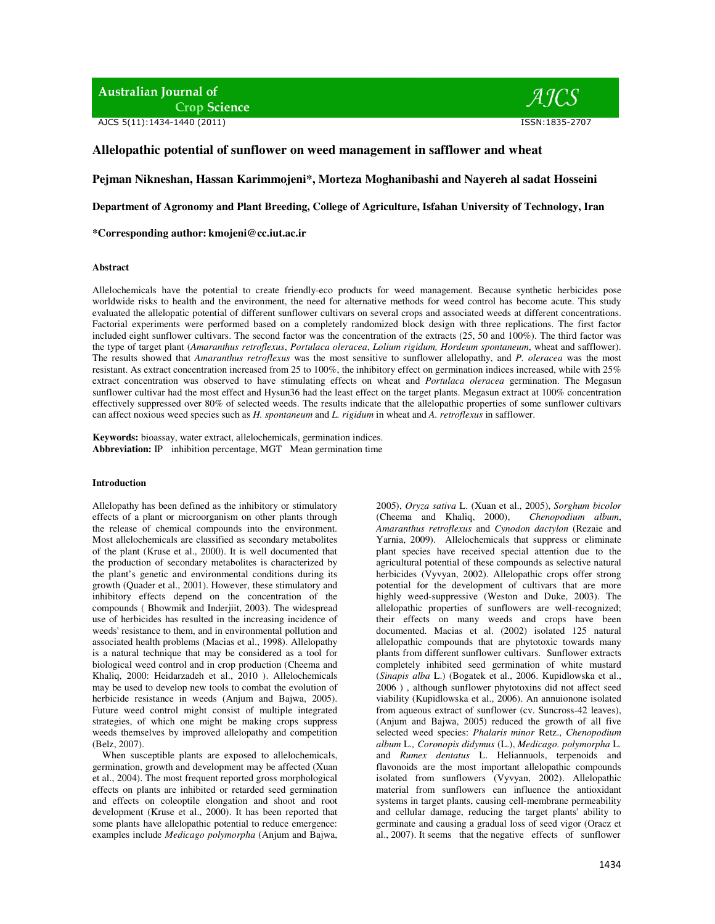**Australian Journal of Crop Science** 

AJCS 5(11):1434-1440 (2011) ISSN:1835-2707



# **Allelopathic potential of sunflower on weed management in safflower and wheat**

**Pejman Nikneshan, Hassan Karimmojeni\*, Morteza Moghanibashi and Nayereh al sadat Hosseini** 

**Department of Agronomy and Plant Breeding, College of Agriculture, Isfahan University of Technology, Iran** 

**\*Corresponding author: kmojeni@cc.iut.ac.ir** 

# **Abstract**

Allelochemicals have the potential to create friendly-eco products for weed management. Because synthetic herbicides pose worldwide risks to health and the environment, the need for alternative methods for weed control has become acute. This study evaluated the allelopatic potential of different sunflower cultivars on several crops and associated weeds at different concentrations. Factorial experiments were performed based on a completely randomized block design with three replications. The first factor included eight sunflower cultivars. The second factor was the concentration of the extracts (25, 50 and 100%). The third factor was the type of target plant (*Amaranthus retroflexus*, *Portulaca oleracea*, *Lolium rigidum, Hordeum spontaneum*, wheat and safflower). The results showed that *Amaranthus retroflexus* was the most sensitive to sunflower allelopathy, and *P. oleracea* was the most resistant. As extract concentration increased from 25 to 100%, the inhibitory effect on germination indices increased, while with 25% extract concentration was observed to have stimulating effects on wheat and *Portulaca oleracea* germination. The Megasun sunflower cultivar had the most effect and Hysun36 had the least effect on the target plants. Megasun extract at 100% concentration effectively suppressed over 80% of selected weeds. The results indicate that the allelopathic properties of some sunflower cultivars can affect noxious weed species such as *H. spontaneum* and *L. rigidum* in wheat and *A. retroflexus* in safflower.

**Keywords:** bioassay, water extract, allelochemicals, germination indices. **Abbreviation:** IP inhibition percentage, MGT Mean germination time

### **Introduction**

Allelopathy has been defined as the inhibitory or stimulatory effects of a plant or microorganism on other plants through the release of chemical compounds into the environment. Most allelochemicals are classified as secondary metabolites of the plant (Kruse et al., 2000). It is well documented that the production of secondary metabolites is characterized by the plant's genetic and environmental conditions during its growth (Quader et al., 2001). However, these stimulatory and inhibitory effects depend on the concentration of the compounds ( Bhowmik and Inderjiit, 2003). The widespread use of herbicides has resulted in the increasing incidence of weeds' resistance to them, and in environmental pollution and associated health problems (Macias et al., 1998). Allelopathy is a natural technique that may be considered as a tool for biological weed control and in crop production (Cheema and Khaliq, 2000: Heidarzadeh et al., 2010 ). Allelochemicals may be used to develop new tools to combat the evolution of herbicide resistance in weeds (Anjum and Bajwa, 2005). Future weed control might consist of multiple integrated strategies, of which one might be making crops suppress weeds themselves by improved allelopathy and competition (Belz, 2007).

When susceptible plants are exposed to allelochemicals, germination, growth and development may be affected (Xuan et al., 2004). The most frequent reported gross morphological effects on plants are inhibited or retarded seed germination and effects on coleoptile elongation and shoot and root development (Kruse et al., 2000). It has been reported that some plants have allelopathic potential to reduce emergence: examples include *Medicago polymorpha* (Anjum and Bajwa,

2005), *Oryza sativa* L. (Xuan et al., 2005), *Sorghum bicolor* (Cheema and Khaliq, 2000), *Chenopodium album*, *Amaranthus retroflexus* and *Cynodon dactylon* (Rezaie and Yarnia, 2009). Allelochemicals that suppress or eliminate plant species have received special attention due to the agricultural potential of these compounds as selective natural herbicides (Vyvyan, 2002). Allelopathic crops offer strong potential for the development of cultivars that are more highly weed-suppressive (Weston and Duke, 2003). The allelopathic properties of sunflowers are well-recognized; their effects on many weeds and crops have been documented. Macias et al. (2002) isolated 125 natural allelopathic compounds that are phytotoxic towards many plants from different sunflower cultivars. Sunflower extracts completely inhibited seed germination of white mustard (*Sinapis alba* L.) (Bogatek et al., 2006. Kupidlowska et al., 2006 ) , although sunflower phytotoxins did not affect seed viability (Kupidlowska et al., 2006). An annuionone isolated from aqueous extract of sunflower (cv. Suncross-42 leaves), (Anjum and Bajwa, 2005) reduced the growth of all five selected weed species: *Phalaris minor* Retz., *Chenopodium album* L*., Coronopis didymus* (L.), *Medicago. polymorpha* L*.*  and *Rumex dentatus* L. Heliannuols, terpenoids and flavonoids are the most important allelopathic compounds isolated from sunflowers (Vyvyan, 2002). Allelopathic material from sunflowers can influence the antioxidant systems in target plants, causing cell-membrane permeability and cellular damage, reducing the target plants' ability to germinate and causing a gradual loss of seed vigor (Oracz et al., 2007). It seems that the negative effects of sunflower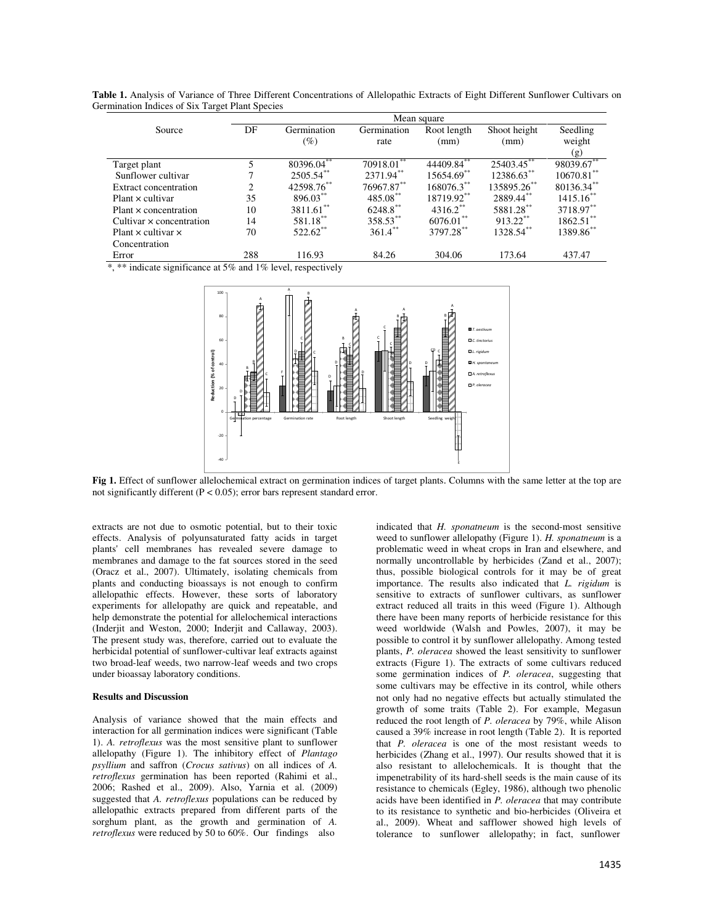**Table 1.** Analysis of Variance of Three Different Concentrations of Allelopathic Extracts of Eight Different Sunflower Cultivars on Germination Indices of Six Target Plant Species

|                                                                                                                                                                                                                                                                                                                       | Mean square    |                        |                 |                 |               |                            |  |
|-----------------------------------------------------------------------------------------------------------------------------------------------------------------------------------------------------------------------------------------------------------------------------------------------------------------------|----------------|------------------------|-----------------|-----------------|---------------|----------------------------|--|
| Source                                                                                                                                                                                                                                                                                                                | DF             | Germination            | Germination     | Root length     | Shoot height  | Seedling                   |  |
|                                                                                                                                                                                                                                                                                                                       |                | $(\%)$                 | rate            | (mm)            | (mm)          | weight                     |  |
|                                                                                                                                                                                                                                                                                                                       |                |                        |                 |                 |               | (g)                        |  |
| Target plant                                                                                                                                                                                                                                                                                                          | 5              | $80396.04^{**}$        | 70918.01        | $44409.84^{**}$ | $25403.45$ ** | $9803\overline{9.67}^{**}$ |  |
| Sunflower cultivar                                                                                                                                                                                                                                                                                                    |                | $2505.54$ **           | $2371.94***$    | 15654.69**      | 12386.63**    | $10670.81$ **              |  |
| <b>Extract concentration</b>                                                                                                                                                                                                                                                                                          | $\overline{c}$ | 42598.76**             | $76967.87^{**}$ | $168076.3$ **   | 135895.26**   | 80136.34**                 |  |
| $Plant \times cultivar$                                                                                                                                                                                                                                                                                               | 35             | $896.03***$            | 485.08**        | 18719.92**      | 2889.44**     | $1415.16$ <sup>**</sup>    |  |
| Plant x concentration                                                                                                                                                                                                                                                                                                 | 10             | $3811.61$ **           | 6248.8**        | $4316.2$ **     | 5881.28**     | 3718.97**                  |  |
| Cultivar $\times$ concentration                                                                                                                                                                                                                                                                                       | 14             | $581.18***$            | 358.53**        | $6076.01***$    | $913.22$ **   | $1862.51$ **               |  |
| Plant $\times$ cultivar $\times$                                                                                                                                                                                                                                                                                      | 70             | $522.62$ <sup>**</sup> | $361.4***$      | 3797.28**       | 1328.54**     | 1389.86**                  |  |
| Concentration                                                                                                                                                                                                                                                                                                         |                |                        |                 |                 |               |                            |  |
| Error                                                                                                                                                                                                                                                                                                                 | 288            | 116.93                 | 84.26           | 304.06          | 173.64        | 437.47                     |  |
| $\ddot{\phi}$ $\ddot{\phi}\dot{\phi}$ to the set of $\ddot{\phi}$ and $\ddot{\phi}$ and $\ddot{\phi}$ and $\ddot{\phi}$ and $\ddot{\phi}$ and $\ddot{\phi}$ and $\ddot{\phi}$ and $\ddot{\phi}$ and $\ddot{\phi}$ and $\ddot{\phi}$ and $\ddot{\phi}$ and $\ddot{\phi}$ and $\ddot{\phi}$ and $\ddot{\phi}$ and $\dd$ |                |                        |                 |                 |               |                            |  |

\*, \*\* indicate significance at 5% and 1% level, respectively



**Fig 1.** Effect of sunflower allelochemical extract on germination indices of target plants. Columns with the same letter at the top are not significantly different (P < 0.05); error bars represent standard error.

extracts are not due to osmotic potential, but to their toxic effects. Analysis of polyunsaturated fatty acids in target plants' cell membranes has revealed severe damage to membranes and damage to the fat sources stored in the seed (Oracz et al., 2007). Ultimately, isolating chemicals from plants and conducting bioassays is not enough to confirm allelopathic effects. However, these sorts of laboratory experiments for allelopathy are quick and repeatable, and help demonstrate the potential for allelochemical interactions (Inderjit and Weston, 2000; Inderjit and Callaway, 2003). The present study was, therefore, carried out to evaluate the herbicidal potential of sunflower-cultivar leaf extracts against two broad-leaf weeds, two narrow-leaf weeds and two crops under bioassay laboratory conditions.

### **Results and Discussion**

Analysis of variance showed that the main effects and interaction for all germination indices were significant (Table 1). *A. retroflexus* was the most sensitive plant to sunflower allelopathy (Figure 1). The inhibitory effect of *Plantago psyllium* and saffron (*Crocus sativus*) on all indices of *A. retroflexus* germination has been reported (Rahimi et al., 2006; Rashed et al., 2009). Also, Yarnia et al. (2009) suggested that *A. retroflexus* populations can be reduced by allelopathic extracts prepared from different parts of the sorghum plant, as the growth and germination of *A. retroflexus* were reduced by 50 to 60%. Our findings also

indicated that *H. sponatneum* is the second-most sensitive weed to sunflower allelopathy (Figure 1). *H. sponatneum* is a problematic weed in wheat crops in Iran and elsewhere, and normally uncontrollable by herbicides (Zand et al., 2007); thus, possible biological controls for it may be of great importance. The results also indicated that *L. rigidum* is sensitive to extracts of sunflower cultivars, as sunflower extract reduced all traits in this weed (Figure 1). Although there have been many reports of herbicide resistance for this weed worldwide (Walsh and Powles, 2007), it may be possible to control it by sunflower allelopathy. Among tested plants, *P. oleracea* showed the least sensitivity to sunflower extracts (Figure 1). The extracts of some cultivars reduced some germination indices of *P. oleracea*, suggesting that some cultivars may be effective in its control, while others not only had no negative effects but actually stimulated the growth of some traits (Table 2). For example, Megasun reduced the root length of *P. oleracea* by 79%, while Alison caused a 39% increase in root length (Table 2). It is reported that *P. oleracea* is one of the most resistant weeds to herbicides (Zhang et al., 1997). Our results showed that it is also resistant to allelochemicals. It is thought that the impenetrability of its hard-shell seeds is the main cause of its resistance to chemicals (Egley, 1986), although two phenolic acids have been identified in *P. oleracea* that may contribute to its resistance to synthetic and bio-herbicides (Oliveira et al., 2009). Wheat and safflower showed high levels of tolerance to sunflower allelopathy; in fact, sunflower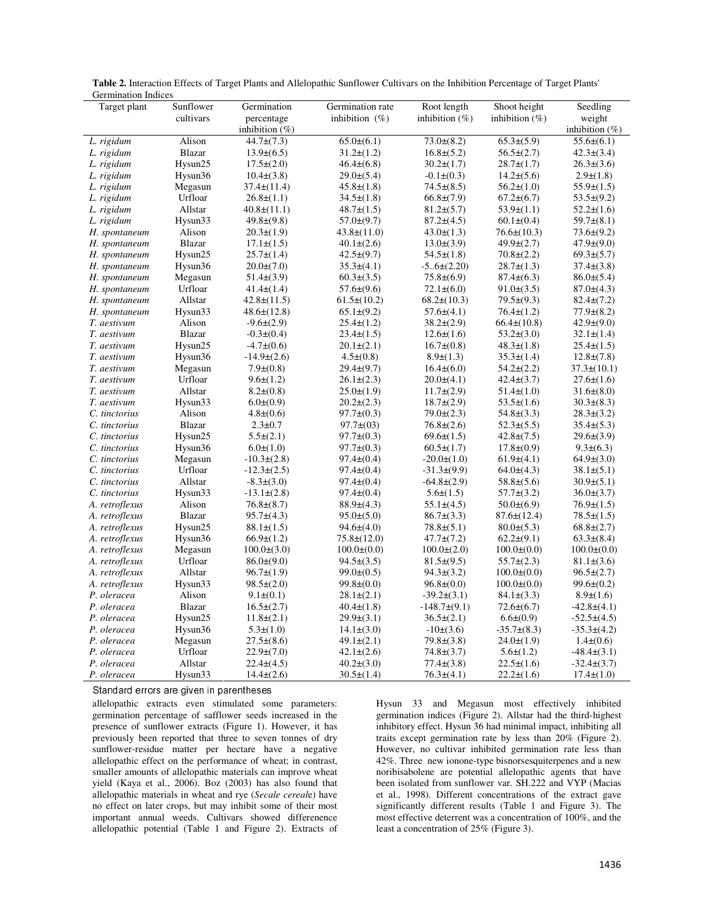| Table 2. Interaction Effects of Target Plants and Allelopathic Sunflower Cultivars on the Inhibition Percentage of Target Plants' |  |  |  |
|-----------------------------------------------------------------------------------------------------------------------------------|--|--|--|
| <b>Germination Indices</b>                                                                                                        |  |  |  |

| Target plant   | Sunflower     | Germination             | Germination rate  | Root length       | Shoot height      | Seedling          |
|----------------|---------------|-------------------------|-------------------|-------------------|-------------------|-------------------|
|                | cultivars     | percentage              | inhibition $(\%)$ | inhibition $(\%)$ | inhibition $(\%)$ | weight            |
|                |               | inhibition $(\%)$       |                   |                   |                   | inhibition $(\%)$ |
| L. rigidum     | Alison        | $\sqrt{44.7} \pm (7.3)$ | $65.0\pm(6.1)$    | $73.0\pm(8.2)$    | $65.3\pm(5.9)$    | $55.6\pm(6.1)$    |
| L. rigidum     | <b>Blazar</b> | $13.9\pm(6.5)$          | $31.2\pm(1.2)$    | $16.8\pm(5.2)$    | $56.5\pm(2.7)$    | $42.3 \pm (3.4)$  |
| L. rigidum     | Hysun25       | $17.5 \pm (2.0)$        | $46.4\pm(6.8)$    | $30.2\pm(1.7)$    | $28.7\pm(1.7)$    | $26.3\pm(3.6)$    |
| L. rigidum     | Hysun36       | $10.4\pm(3.8)$          | $29.0\pm(5.4)$    | $-0.1\pm(0.3)$    | $14.2\pm(5.6)$    | $2.9 \pm (1.8)$   |
| L. rigidum     | Megasun       | $37.4\pm(11.4)$         | $45.8\pm(1.8)$    | $74.5\pm(8.5)$    | $56.2\pm(1.0)$    | $55.9\pm(1.5)$    |
| L. rigidum     | Urfloar       | $26.8\pm(1.1)$          | $34.5\pm(1.8)$    | $66.8 \pm (7.9)$  | $67.2\pm(6.7)$    | $53.5\pm(9.2)$    |
| L. rigidum     | Allstar       | $40.8\pm(11.1)$         | $48.7 \pm (1.5)$  | $81.2\pm(5.7)$    | $53.9\pm(1.1)$    | $52.2\pm(1.6)$    |
| L. rigidum     | Hysun33       | $49.8 \pm (9.8)$        | $57.0\pm(9.7)$    | $87.2\pm(4.5)$    | $60.1 \pm (0.4)$  | $59.7\pm(8.1)$    |
| H. spontaneum  | Alison        | $20.3\pm(1.9)$          | $43.8\pm(11.0)$   | $43.0\pm(1.3)$    | $76.6\pm(10.3)$   | $73.6\pm(9.2)$    |
| H. spontaneum  | <b>Blazar</b> | $17.1\pm(1.5)$          | $40.1 \pm (2.6)$  | $13.0\pm(3.9)$    | $49.9\pm(2.7)$    | $47.9\pm(9.0)$    |
| H. spontaneum  | Hysun25       | $25.7 \pm (1.4)$        | $42.5\pm(9.7)$    | $54.5\pm(1.8)$    | $70.8 \pm (2.2)$  | $69.3\pm(5.7)$    |
| H. spontaneum  | Hysun36       | $20.0\pm(7.0)$          | $35.3\pm(4.1)$    | $-5.6 \pm (2.20)$ | $28.7\pm(1.3)$    | $37.4\pm(3.8)$    |
| H. spontaneum  | Megasun       | $51.4\pm(3.9)$          | $60.3\pm(3.5)$    | $75.8 \pm (6.9)$  | $87.4\pm(6.3)$    | $86.0\pm(5.4)$    |
| H. spontaneum  | Urfloar       | $41.4\pm(1.4)$          | $57.6\pm(9.6)$    | $72.1\pm(6.0)$    | $91.0\pm(3.5)$    | $87.0 \pm (4.3)$  |
| H. spontaneum  | Allstar       | $42.8 \pm (11.5)$       | $61.5\pm(10.2)$   | $68.2\pm(10.3)$   | $79.5\pm(9.3)$    | $82.4\pm(7.2)$    |
| H. spontaneum  | Hysun33       | $48.6\pm(12.8)$         | $65.1\pm(9.2)$    | $57.6\pm(4.1)$    | $76.4\pm(1.2)$    | $77.9\pm(8.2)$    |
| T. aestivum    | Alison        | $-9.6\pm(2.9)$          | $25.4\pm(1.2)$    | $38.2\pm(2.9)$    | $66.4\pm(10.8)$   | $42.9\pm(9.0)$    |
| T. aestivum    | <b>Blazar</b> | $-0.3\pm(0.4)$          | $23.4\pm(1.5)$    | $12.6\pm(1.6)$    | $53.2\pm(3.0)$    | $32.1 \pm (1.4)$  |
| T. aestivum    | Hysun25       | $-4.7\pm(0.6)$          | $20.1\pm(2.1)$    | $16.7\pm(0.8)$    | $48.3 \pm (1.8)$  | $25.4\pm(1.5)$    |
| T. aestivum    | Hysun36       | $-14.9\pm(2.6)$         | $4.5\pm(0.8)$     | $8.9\pm(1.3)$     | $35.3\pm(1.4)$    | $12.8 \pm (7.8)$  |
| T. aestivum    | Megasun       | $7.9\pm(0.8)$           | $29.4\pm(9.7)$    | $16.4\pm(6.0)$    | $54.2\pm(2.2)$    | $37.3 \pm (10.1)$ |
| T. aestivum    | Urfloar       | $9.6\pm(1.2)$           | $26.1\pm(2.3)$    | $20.0\pm(4.1)$    | $42.4\pm(3.7)$    | $27.6\pm(1.6)$    |
| T. aestivum    | Allstar       | $8.2\pm(0.8)$           | $25.0\pm(1.9)$    | $11.7\pm(2.9)$    | $51.4\pm(1.0)$    | $31.6\pm(8.0)$    |
| T. aestivum    | Hysun33       | $6.0\pm(0.9)$           | $20.2\pm(2.3)$    | $18.7\pm(2.9)$    | $53.5 \pm (1.6)$  | $30.3\pm(8.3)$    |
| C. tinctorius  | Alison        | $4.8 \pm (0.6)$         | $97.7\pm(0.3)$    | $79.0 \pm (2.3)$  | $54.8\pm(3.3)$    | $28.3\pm(3.2)$    |
| C. tinctorius  | <b>Blazar</b> | $2.3 \pm 0.7$           | $97.7 \pm (03)$   | $76.8 \pm (2.6)$  | $52.3\pm(5.5)$    | $35.4\pm(5.3)$    |
| C. tinctorius  | Hysun25       | $5.5\pm(2.1)$           | $97.7\pm(0.3)$    | $69.6\pm(1.5)$    | $42.8 \pm (7.5)$  | $29.6\pm(3.9)$    |
| C. tinctorius  | Hysun36       | $6.0 \pm (1.0)$         | $97.7 \pm (0.3)$  | $60.5\pm(1.7)$    | $17.8 \pm (0.9)$  | $9.3 \pm (6.3)$   |
| C. tinctorius  | Megasun       | $-10.3\pm(2.8)$         | $97.4 \pm (0.4)$  | $-20.0\pm(1.0)$   | $61.9\pm(4.1)$    | $64.9\pm(3.0)$    |
| C. tinctorius  | Urfloar       | $-12.3\pm(2.5)$         | $97.4\pm(0.4)$    | $-31.3\pm(9.9)$   | $64.0\pm(4.3)$    | $38.1 \pm (5.1)$  |
| C. tinctorius  | Allstar       | $-8.3\pm(3.0)$          | $97.4\pm(0.4)$    | $-64.8 \pm (2.9)$ | $58.8 \pm (5.6)$  | $30.9\pm(5.1)$    |
| C. tinctorius  | Hysun33       | $-13.1\pm(2.8)$         | $97.4\pm(0.4)$    | $5.6\pm(1.5)$     | $57.7\pm(3.2)$    | $36.0\pm(3.7)$    |
| A. retroflexus | Alison        | $76.8\pm(8.7)$          | $88.9\pm(4.3)$    | $55.1\pm(4.5)$    | $50.0\pm(6.9)$    | $76.9\pm(1.5)$    |
| A. retroflexus | <b>Blazar</b> | $95.7\pm(4.3)$          | $95.0\pm(5.0)$    | $86.7\pm(3.3)$    | $87.6 \pm (12.4)$ | $78.5 \pm (1.5)$  |
| A. retroflexus | Hysun25       | $88.1 \pm (1.5)$        | $94.6\pm(4.0)$    | $78.8 \pm (5.1)$  | $80.0\pm(5.3)$    | $68.8 \pm (2.7)$  |
| A. retroflexus | Hysun36       | $66.9\pm(1.2)$          | $75.8 \pm (12.0)$ | $47.7 \pm (7.2)$  | $62.2\pm(9.1)$    | $63.3\pm(8.4)$    |
| A. retroflexus | Megasun       | $100.0\pm(3.0)$         | $100.0\pm(0.0)$   | $100.0\pm(2.0)$   | $100.0\pm(0.0)$   | $100.0\pm(0.0)$   |
| A. retroflexus | Urfloar       | $86.0\pm(9.0)$          | $94.5\pm(3.5)$    | $81.5\pm(9.5)$    | $55.7\pm(2.3)$    | $81.1\pm(3.6)$    |
| A. retroflexus | Allstar       | $96.7\pm(1.9)$          | $99.0\pm(0.5)$    | $94.3\pm(3.2)$    | $100.0\pm(0.0)$   | $96.5\pm(2.7)$    |
| A. retroflexus | Hysun33       | $98.5\pm(2.0)$          | $99.8\pm(0.0)$    | $96.8 \pm (0.0)$  | $100.0\pm(0.0)$   | $99.6\pm(0.2)$    |
| P. oleracea    | Alison        | $9.1 \pm (0.1)$         | $28.1 \pm (2.1)$  | $-39.2\pm(3.1)$   | $84.1\pm(3.3)$    | $8.9 \pm (1.6)$   |
| P. oleracea    | <b>Blazar</b> | $16.5\pm(2.7)$          | $40.4\pm(1.8)$    | $-148.7\pm(9.1)$  | $72.6\pm(6.7)$    | $-42.8\pm(4.1)$   |
| P. oleracea    | Hysun25       | $11.8\pm(2.1)$          | $29.9\pm(3.1)$    | $36.5\pm(2.1)$    | 6.6(0.9)          | $-52.5\pm(4.5)$   |
| P. oleracea    | Hysun36       | $5.3\pm(1.0)$           | $14.1\pm(3.0)$    | $-10\pm(3.6)$     | $-35.7\pm(8.3)$   | $-35.3\pm(4.2)$   |
| P. oleracea    | Megasun       | $27.5\pm(8.6)$          | $49.1 \pm (2.1)$  | $79.8 \pm (3.8)$  | $24.0\pm(1.9)$    | $1.4\pm(0.6)$     |
| P. oleracea    | Urfloar       | $22.9\pm(7.0)$          | $42.1 \pm (2.6)$  | $74.8 \pm (3.7)$  | $5.6\pm(1.2)$     | $-48.4\pm(3.1)$   |
| P. oleracea    | Allstar       | $22.4\pm(4.5)$          | $40.2\pm(3.0)$    | $77.4\pm(3.8)$    | $22.5\pm(1.6)$    | $-32.4\pm(3.7)$   |
| P. oleracea    | Hysun33       | $14.4\pm(2.6)$          | $30.5\pm(1.4)$    | $76.3\pm(4.1)$    | $22.2\pm(1.6)$    | $17.4\pm(1.0)$    |

Standard errors are given in parentheses

allelopathic extracts even stimulated some parameters: germination percentage of safflower seeds increased in the presence of sunflower extracts (Figure 1). However, it has previously been reported that three to seven tonnes of dry sunflower-residue matter per hectare have a negative allelopathic effect on the performance of wheat; in contrast, smaller amounts of allelopathic materials can improve wheat yield (Kaya et al., 2006). Boz (2003) has also found that allelopathic materials in wheat and rye (*Secale cereal*e) have no effect on later crops, but may inhibit some of their most important annual weeds. Cultivars showed differenence allelopathic potential (Table 1 and Figure 2). Extracts of Hysun 33 and Megasun most effectively inhibited germination indices (Figure 2). Allstar had the third-highest inhibitory effect. Hysun 36 had minimal impact, inhibiting all traits except germination rate by less than 20% (Figure 2). However, no cultivar inhibited germination rate less than 42%. Three new ionone-type bisnorsesquiterpenes and a new noribisabolene are potential allelopathic agents that have been isolated from sunflower var. SH.222 and VYP (Macias et al., 1998). Different concentrations of the extract gave significantly different results (Table 1 and Figure 3). The most effective deterrent was a concentration of 100%, and the least a concentration of 25% (Figure 3).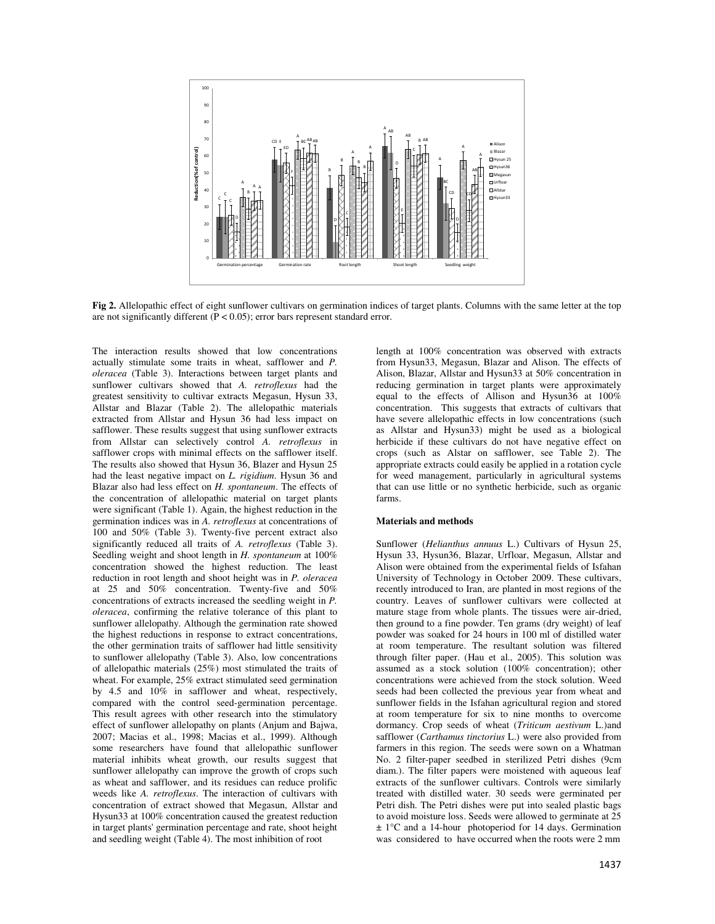

**Fig 2.** Allelopathic effect of eight sunflower cultivars on germination indices of target plants. Columns with the same letter at the top are not significantly different  $(P < 0.05)$ ; error bars represent standard error.

The interaction results showed that low concentrations actually stimulate some traits in wheat, safflower and *P. oleracea* (Table 3). Interactions between target plants and sunflower cultivars showed that *A. retroflexus* had the greatest sensitivity to cultivar extracts Megasun, Hysun 33, Allstar and Blazar (Table 2). The allelopathic materials extracted from Allstar and Hysun 36 had less impact on safflower. These results suggest that using sunflower extracts from Allstar can selectively control *A. retroflexus* in safflower crops with minimal effects on the safflower itself. The results also showed that Hysun 36, Blazer and Hysun 25 had the least negative impact on *L. rigidium*. Hysun 36 and Blazar also had less effect on *H. spontaneum*. The effects of the concentration of allelopathic material on target plants were significant (Table 1). Again, the highest reduction in the germination indices was in *A. retroflexus* at concentrations of 100 and 50% (Table 3). Twenty-five percent extract also significantly reduced all traits of *A. retroflexus* (Table 3). Seedling weight and shoot length in *H. spontaneum* at 100% concentration showed the highest reduction. The least reduction in root length and shoot height was in *P. oleracea* at 25 and 50% concentration. Twenty-five and 50% concentrations of extracts increased the seedling weight in *P. oleracea*, confirming the relative tolerance of this plant to sunflower allelopathy. Although the germination rate showed the highest reductions in response to extract concentrations, the other germination traits of safflower had little sensitivity to sunflower allelopathy (Table 3). Also, low concentrations of allelopathic materials (25%) most stimulated the traits of wheat. For example, 25% extract stimulated seed germination by 4.5 and 10% in safflower and wheat, respectively, compared with the control seed-germination percentage. This result agrees with other research into the stimulatory effect of sunflower allelopathy on plants (Anjum and Bajwa, 2007; Macias et al., 1998; Macias et al., 1999). Although some researchers have found that allelopathic sunflower material inhibits wheat growth, our results suggest that sunflower allelopathy can improve the growth of crops such as wheat and safflower, and its residues can reduce prolific weeds like *A. retroflexus*. The interaction of cultivars with concentration of extract showed that Megasun, Allstar and Hysun33 at 100% concentration caused the greatest reduction in target plants' germination percentage and rate, shoot height and seedling weight (Table 4). The most inhibition of root

length at 100% concentration was observed with extracts from Hysun33, Megasun, Blazar and Alison. The effects of Alison, Blazar, Allstar and Hysun33 at 50% concentration in reducing germination in target plants were approximately equal to the effects of Allison and Hysun36 at 100% concentration. This suggests that extracts of cultivars that have severe allelopathic effects in low concentrations (such as Allstar and Hysun33) might be used as a biological herbicide if these cultivars do not have negative effect on crops (such as Alstar on safflower, see Table 2). The appropriate extracts could easily be applied in a rotation cycle for weed management, particularly in agricultural systems that can use little or no synthetic herbicide, such as organic farms.

# **Materials and methods**

Sunflower (*Helianthus annuus* L.) Cultivars of Hysun 25, Hysun 33, Hysun36, Blazar, Urfloar, Megasun, Allstar and Alison were obtained from the experimental fields of Isfahan University of Technology in October 2009. These cultivars, recently introduced to Iran, are planted in most regions of the country. Leaves of sunflower cultivars were collected at mature stage from whole plants. The tissues were air-dried, then ground to a fine powder. Ten grams (dry weight) of leaf powder was soaked for 24 hours in 100 ml of distilled water at room temperature. The resultant solution was filtered through filter paper. (Hau et al., 2005). This solution was assumed as a stock solution (100% concentration); other concentrations were achieved from the stock solution. Weed seeds had been collected the previous year from wheat and sunflower fields in the Isfahan agricultural region and stored at room temperature for six to nine months to overcome dormancy. Crop seeds of wheat (*Triticum aestivum* L.)and safflower (*Carthamus tinctorius* L.) were also provided from farmers in this region. The seeds were sown on a Whatman No. 2 filter-paper seedbed in sterilized Petri dishes (9cm diam.). The filter papers were moistened with aqueous leaf extracts of the sunflower cultivars. Controls were similarly treated with distilled water. 30 seeds were germinated per Petri dish. The Petri dishes were put into sealed plastic bags to avoid moisture loss. Seeds were allowed to germinate at 25 ± 1°C and a 14-hour photoperiod for 14 days. Germination was considered to have occurred when the roots were 2 mm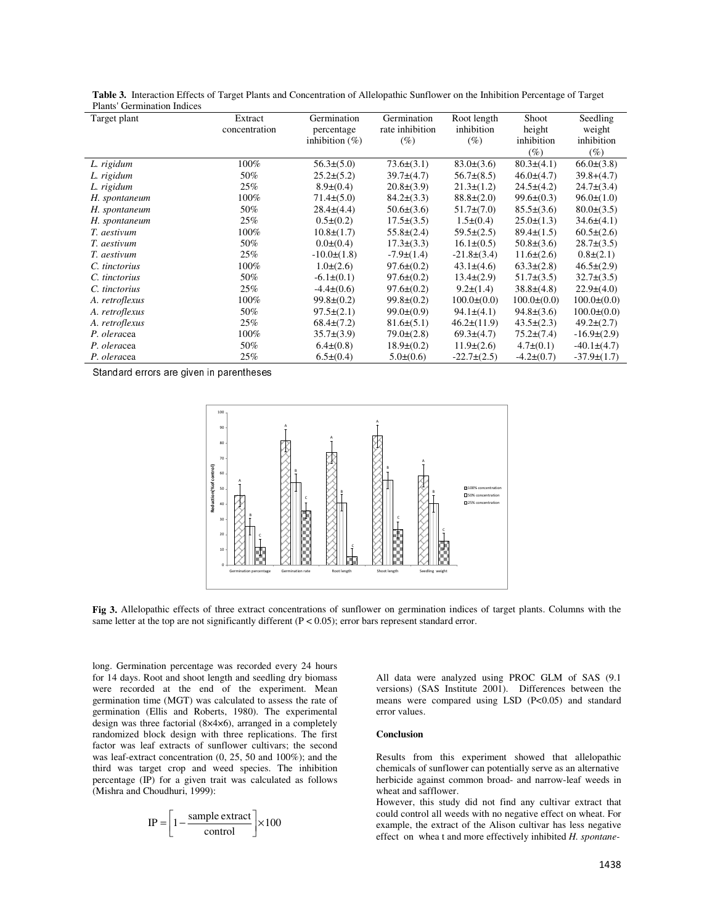| гтаніз денішанон шинсэ<br>Target plant | Extract       | Germination       | Germination      | Root length      | Shoot           | Seedling          |
|----------------------------------------|---------------|-------------------|------------------|------------------|-----------------|-------------------|
|                                        | concentration | percentage        | rate inhibition  | inhibition       | height          | weight            |
|                                        |               | inhibition $(\%)$ | $(\%)$           | $(\%)$           | inhibition      | inhibition        |
|                                        |               |                   |                  |                  | (%)             | (%)               |
|                                        |               |                   |                  |                  |                 |                   |
| L. rigidum                             | 100%          | $56.3\pm(5.0)$    | $73.6\pm(3.1)$   | $83.0\pm(3.6)$   | $80.3\pm(4.1)$  | $66.0\pm(3.8)$    |
| L. rigidum                             | 50%           | $25.2\pm(5.2)$    | $39.7\pm(4.7)$   | $56.7\pm(8.5)$   | $46.0\pm(4.7)$  | $39.8+(4.7)$      |
| L. rigidum                             | 25%           | $8.9\pm(0.4)$     | $20.8\pm(3.9)$   | $21.3\pm(1.2)$   | $24.5\pm(4.2)$  | $24.7\pm(3.4)$    |
| H. spontaneum                          | 100%          | $71.4\pm(5.0)$    | $84.2\pm(3.3)$   | $88.8\pm(2.0)$   | $99.6\pm(0.3)$  | $96.0\pm(1.0)$    |
| H. spontaneum                          | 50%           | $28.4\pm(4.4)$    | $50.6\pm(3.6)$   | $51.7\pm(7.0)$   | $85.5\pm(3.6)$  | $80.0\pm(3.5)$    |
| H. spontaneum                          | 25%           | $0.5\pm(0.2)$     | $17.5\pm(3.5)$   | $1.5\pm(0.4)$    | $25.0\pm(1.3)$  | $34.6\pm(4.1)$    |
| T. aestivum                            | 100%          | $10.8\pm(1.7)$    | $55.8 \pm (2.4)$ | $59.5\pm(2.5)$   | $89.4\pm(1.5)$  | $60.5\pm(2.6)$    |
| T. aestivum                            | 50%           | $0.0\pm(0.4)$     | $17.3\pm(3.3)$   | $16.1\pm(0.5)$   | $50.8\pm(3.6)$  | $28.7\pm(3.5)$    |
| T. aestivum                            | 25%           | $-10.0\pm(1.8)$   | $-7.9\pm(1.4)$   | $-21.8\pm(3.4)$  | $11.6\pm(2.6)$  | $0.8\pm(2.1)$     |
| C. tinctorius                          | $100\%$       | $1.0\pm(2.6)$     | $97.6\pm(0.2)$   | $43.1 \pm (4.6)$ | $63.3\pm(2.8)$  | $46.5 \pm (2.9)$  |
| C. tinctorius                          | 50%           | $-6.1\pm(0.1)$    | $97.6\pm(0.2)$   | $13.4\pm(2.9)$   | $51.7\pm(3.5)$  | $32.7\pm(3.5)$    |
| C. tinctorius                          | 25%           | $-4.4\pm(0.6)$    | $97.6\pm(0.2)$   | $9.2\pm(1.4)$    | $38.8\pm(4.8)$  | $22.9\pm(4.0)$    |
| A. retroflexus                         | 100%          | $99.8\pm(0.2)$    | $99.8\pm(0.2)$   | $100.0\pm(0.0)$  | $100.0\pm(0.0)$ | $100.0\pm(0.0)$   |
| A. retroflexus                         | 50%           | $97.5\pm(2.1)$    | $99.0\pm(0.9)$   | $94.1\pm(4.1)$   | $94.8\pm(3.6)$  | $100.0\pm(0.0)$   |
| A. retroflexus                         | 25%           | $68.4\pm(7.2)$    | $81.6\pm(5.1)$   | $46.2\pm(11.9)$  | $43.5\pm(2.3)$  | $49.2\pm(2.7)$    |
| P. oleracea                            | 100%          | $35.7\pm(3.9)$    | $79.0\pm(2.8)$   | $69.3\pm(4.7)$   | $75.2\pm(7.4)$  | $-16.9\pm(2.9)$   |
| P. oleracea                            | 50%           | $6.4\pm(0.8)$     | $18.9\pm(0.2)$   | $11.9\pm(2.6)$   | $4.7\pm(0.1)$   | $-40.1 \pm (4.7)$ |
| P. oleracea                            | 25%           | $6.5\pm(0.4)$     | $5.0\pm(0.6)$    | $-22.7\pm(2.5)$  | $-4.2\pm(0.7)$  | $-37.9\pm(1.7)$   |

**Table 3.** Interaction Effects of Target Plants and Concentration of Allelopathic Sunflower on the Inhibition Percentage of Target Plants' Germination Indices nination Indic

Standard errors are given in parentheses



**Fig 3.** Allelopathic effects of three extract concentrations of sunflower on germination indices of target plants. Columns with the same letter at the top are not significantly different  $(P < 0.05)$ ; error bars represent standard error.

long. Germination percentage was recorded every 24 hours for 14 days. Root and shoot length and seedling dry biomass were recorded at the end of the experiment. Mean germination time (MGT) was calculated to assess the rate of germination (Ellis and Roberts, 1980). The experimental design was three factorial (8×4×6), arranged in a completely randomized block design with three replications. The first factor was leaf extracts of sunflower cultivars; the second was leaf-extract concentration (0, 25, 50 and 100%); and the third was target crop and weed species. The inhibition percentage (IP) for a given trait was calculated as follows (Mishra and Choudhuri, 1999):

$$
IP = \left[1 - \frac{\text{sample extract}}{\text{control}}\right] \times 100
$$

All data were analyzed using PROC GLM of SAS (9.1 versions) (SAS Institute 2001). Differences between the means were compared using LSD (P<0.05) and standard error values.

# **Conclusion**

Results from this experiment showed that allelopathic chemicals of sunflower can potentially serve as an alternative herbicide against common broad- and narrow-leaf weeds in wheat and safflower.

However, this study did not find any cultivar extract that could control all weeds with no negative effect on wheat. For example, the extract of the Alison cultivar has less negative effect on whea t and more effectively inhibited *H. spontane-*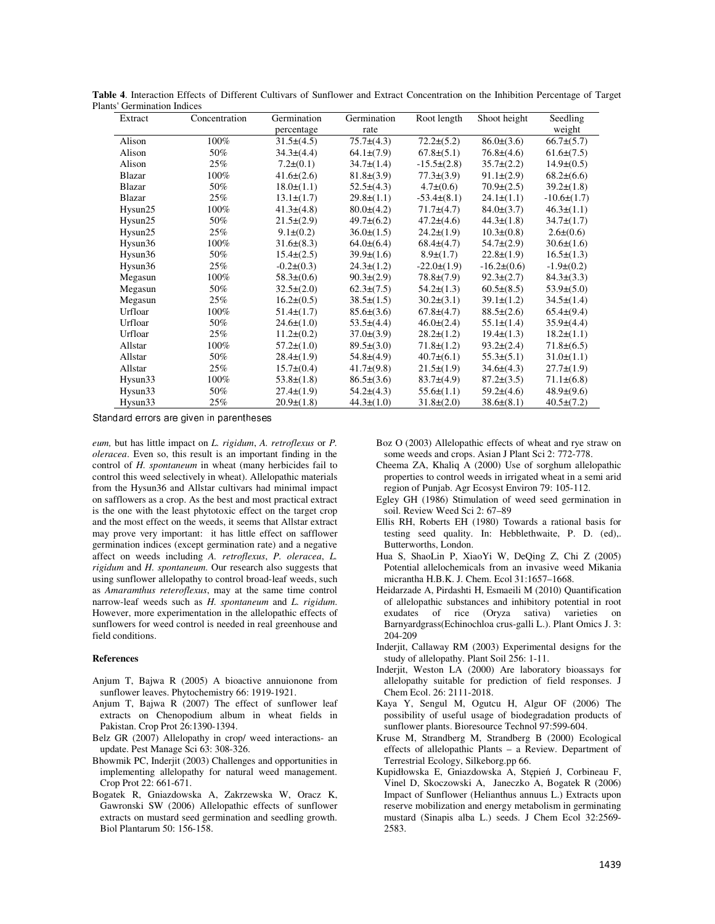| Extract       | Concentration | Germination      | Germination      | Root length      | Shoot height     | Seedling         |
|---------------|---------------|------------------|------------------|------------------|------------------|------------------|
|               |               | percentage       | rate             |                  |                  | weight           |
| Alison        | 100%          | $31.5\pm(4.5)$   | $75.7\pm(4.3)$   | $72.2\pm(5.2)$   | $86.0\pm(3.6)$   | $66.7\pm(5.7)$   |
| Alison        | 50%           | $34.3\pm(4.4)$   | $64.1\pm(7.9)$   | $67.8 \pm (5.1)$ | $76.8\pm(4.6)$   | $61.6\pm(7.5)$   |
| Alison        | 25%           | $7.2\pm(0.1)$    | $34.7\pm(1.4)$   | $-15.5\pm(2.8)$  | $35.7\pm(2.2)$   | $14.9\pm(0.5)$   |
| <b>Blazar</b> | 100%          | $41.6\pm(2.6)$   | $81.8\pm(3.9)$   | $77.3\pm(3.9)$   | $91.1\pm(2.9)$   | $68.2\pm(6.6)$   |
| Blazar        | 50%           | $18.0\pm(1.1)$   | $52.5\pm(4.3)$   | $4.7\pm(0.6)$    | $70.9\pm(2.5)$   | $39.2\pm(1.8)$   |
| <b>Blazar</b> | 25%           | $13.1\pm(1.7)$   | $29.8\pm(1.1)$   | $-53.4\pm(8.1)$  | $24.1\pm(1.1)$   | $-10.6\pm(1.7)$  |
| Hysun25       | 100%          | $41.3\pm(4.8)$   | $80.0\pm(4.2)$   | $71.7\pm(4.7)$   | $84.0\pm(3.7)$   | $46.3\pm(1.1)$   |
| Hysun25       | 50%           | $21.5\pm(2.9)$   | $49.7\pm(6.2)$   | $47.2\pm(4.6)$   | $44.3 \pm (1.8)$ | $34.7\pm(1.7)$   |
| Hysun25       | 25%           | $9.1\pm(0.2)$    | $36.0\pm(1.5)$   | $24.2\pm(1.9)$   | $10.3\pm(0.8)$   | $2.6\pm(0.6)$    |
| Hysun36       | $100\%$       | $31.6\pm(8.3)$   | $64.0\pm(6.4)$   | $68.4\pm(4.7)$   | $54.7\pm(2.9)$   | $30.6\pm(1.6)$   |
| Hysun36       | 50%           | $15.4\pm(2.5)$   | $39.9\pm(1.6)$   | $8.9\pm(1.7)$    | $22.8\pm(1.9)$   | $16.5\pm(1.3)$   |
| Hysun36       | 25%           | $-0.2\pm(0.3)$   | $24.3 \pm (1.2)$ | $-22.0\pm(1.9)$  | $-16.2\pm(0.6)$  | $-1.9\pm(0.2)$   |
| Megasun       | 100%          | $58.3\pm(0.6)$   | $90.3 \pm (2.9)$ | $78.8 \pm (7.9)$ | $92.3\pm(2.7)$   | $84.3\pm(3.3)$   |
| Megasun       | 50%           | $32.5\pm(2.0)$   | $62.3 \pm (7.5)$ | $54.2\pm(1.3)$   | $60.5\pm(8.5)$   | $53.9\pm(5.0)$   |
| Megasun       | 25%           | $16.2\pm(0.5)$   | $38.5\pm(1.5)$   | $30.2\pm(3.1)$   | $39.1 \pm (1.2)$ | $34.5\pm(1.4)$   |
| Urfloar       | $100\%$       | $51.4\pm(1.7)$   | $85.6\pm(3.6)$   | $67.8 \pm (4.7)$ | $88.5\pm(2.6)$   | $65.4\pm(9.4)$   |
| Urfloar       | 50%           | $24.6\pm(1.0)$   | $53.5\pm(4.4)$   | $46.0\pm(2.4)$   | $55.1\pm(1.4)$   | $35.9\pm(4.4)$   |
| Urfloar       | 25%           | $11.2\pm(0.2)$   | $37.0\pm(3.9)$   | $28.2\pm(1.2)$   | $19.4\pm(1.3)$   | $18.2\pm(1.1)$   |
| Allstar       | $100\%$       | $57.2 \pm (1.0)$ | $89.5\pm(3.0)$   | $71.8\pm(1.2)$   | $93.2\pm(2.4)$   | $71.8\pm(6.5)$   |
| Allstar       | 50%           | $28.4\pm(1.9)$   | $54.8\pm(4.9)$   | $40.7\pm(6.1)$   | $55.3\pm(5.1)$   | $31.0\pm(1.1)$   |
| Allstar       | 25%           | $15.7\pm(0.4)$   | $41.7\pm(9.8)$   | $21.5\pm(1.9)$   | $34.6\pm(4.3)$   | $27.7\pm(1.9)$   |
| Hysun33       | $100\%$       | $53.8\pm(1.8)$   | $86.5\pm(3.6)$   | $83.7\pm(4.9)$   | $87.2\pm(3.5)$   | $71.1\pm(6.8)$   |
| Hysun33       | 50%           | $27.4\pm(1.9)$   | $54.2\pm(4.3)$   | $55.6\pm(1.1)$   | $59.2\pm(4.6)$   | $48.9\pm(9.6)$   |
| Hysun33       | 25%           | $20.9\pm(1.8)$   | $44.3 \pm (1.0)$ | $31.8\pm(2.0)$   | $38.6\pm(8.1)$   | $40.5 \pm (7.2)$ |

**Table 4**. Interaction Effects of Different Cultivars of Sunflower and Extract Concentration on the Inhibition Percentage of Target Plants' Germination Indices

Standard errors are given in parentheses

*eum,* but has little impact on *L. rigidum*, *A. retroflexus* or *P. oleracea*. Even so, this result is an important finding in the control of *H. spontaneum* in wheat (many herbicides fail to control this weed selectively in wheat). Allelopathic materials from the Hysun36 and Allstar cultivars had minimal impact on safflowers as a crop. As the best and most practical extract is the one with the least phytotoxic effect on the target crop and the most effect on the weeds, it seems that Allstar extract may prove very important: it has little effect on safflower germination indices (except germination rate) and a negative affect on weeds including *A. retroflexus*, *P. oleracea*, *L. rigidum* and *H. spontaneum*. Our research also suggests that using sunflower allelopathy to control broad-leaf weeds, such as *Amaramthus reteroflexus*, may at the same time control narrow-leaf weeds such as *H. spontaneum* and *L. rigidum*. However, more experimentation in the allelopathic effects of sunflowers for weed control is needed in real greenhouse and field conditions.

#### **References**

- Anjum T, Bajwa R (2005) A bioactive annuionone from sunflower leaves. Phytochemistry 66: 1919-1921.
- Anjum T, Bajwa R (2007) The effect of sunflower leaf extracts on Chenopodium album in wheat fields in Pakistan. Crop Prot 26:1390-1394.
- Belz GR (2007) Allelopathy in crop/ weed interactions- an update. Pest Manage Sci 63: 308-326.
- Bhowmik PC, Inderjit (2003) Challenges and opportunities in implementing allelopathy for natural weed management. Crop Prot 22: 661-671.
- Bogatek R, Gniazdowska A, Zakrzewska W, Oracz K, Gawronski SW (2006) Allelopathic effects of sunflower extracts on mustard seed germination and seedling growth. Biol Plantarum 50: 156-158.

Boz O (2003) Allelopathic effects of wheat and rye straw on some weeds and crops. Asian J Plant Sci 2: 772-778.

- Cheema ZA, Khaliq A (2000) Use of sorghum allelopathic properties to control weeds in irrigated wheat in a semi arid region of Punjab. Agr Ecosyst Environ 79: 105-112.
- Egley GH (1986) Stimulation of weed seed germination in soil. Review Weed Sci 2: 67–89
- Ellis RH, Roberts EH (1980) Towards a rational basis for testing seed quality. In: Hebblethwaite, P. D. (ed),. Butterworths, London.
- Hua S, ShaoLin P, XiaoYi W, DeQing Z, Chi Z (2005) Potential allelochemicals from an invasive weed Mikania micrantha H.B.K. J. Chem. Ecol 31:1657–1668.
- Heidarzade A, Pirdashti H, Esmaeili M (2010) Quantification of allelopathic substances and inhibitory potential in root exudates of rice (Oryza sativa) varieties on Barnyardgrass(Echinochloa crus-galli L.). Plant Omics J. 3: 204-209
- Inderjit, Callaway RM (2003) Experimental designs for the study of allelopathy. Plant Soil 256: 1-11.
- Inderjit, Weston LA (2000) Are laboratory bioassays for allelopathy suitable for prediction of field responses. J Chem Ecol. 26: 2111-2018.
- Kaya Y, Sengul M, Ogutcu H, Algur OF (2006) The possibility of useful usage of biodegradation products of sunflower plants. Bioresource Technol 97:599-604.
- Kruse M, Strandberg M, Strandberg B (2000) Ecological effects of allelopathic Plants – a Review. Department of Terrestrial Ecology, Silkeborg.pp 66.
- Kupidłowska E, Gniazdowska A, Stępień J, Corbineau F, Vinel D, Skoczowski A, Janeczko A, Bogatek R (2006) Impact of Sunflower (Helianthus annuus L.) Extracts upon reserve mobilization and energy metabolism in germinating mustard (Sinapis alba L.) seeds. J Chem Ecol 32:2569- 2583.